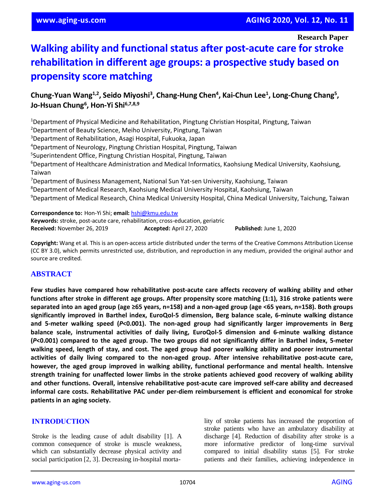**Research Paper**

# **Walking ability and functional status after post-acute care for stroke rehabilitation in different age groups: a prospective study based on propensity score matching**

# **Chung-Yuan Wang1,2, Seido Miyoshi<sup>3</sup> , Chang-Hung Chen<sup>4</sup> , Kai-Chun Lee<sup>1</sup> , Long-Chung Chang<sup>5</sup> , Jo-Hsuan Chung<sup>6</sup> , Hon-Yi Shi6,7,8,9**

Department of Physical Medicine and Rehabilitation, Pingtung Christian Hospital, Pingtung, Taiwan <sup>2</sup>Department of Beauty Science, Meiho University, Pingtung, Taiwan Department of Rehabilitation, Asagi Hospital, Fukuoka, Japan Department of Neurology, Pingtung Christian Hospital, Pingtung, Taiwan Superintendent Office, Pingtung Christian Hospital, Pingtung, Taiwan Department of Healthcare Administration and Medical Informatics, Kaohsiung Medical University, Kaohsiung, Taiwan Department of Business Management, National Sun Yat-sen University, Kaohsiung, Taiwan Department of Medical Research, Kaohsiung Medical University Hospital, Kaohsiung, Taiwan Department of Medical Research, China Medical University Hospital, China Medical University, Taichung, Taiwan

**Correspondence to:** Hon-Yi Shi; **email:** [hshi@kmu.edu.tw](mailto:hshi@kmu.edu.tw) **Keywords:** stroke, post-acute care, rehabilitation, cross-education, geriatric **Received:** November 26, 2019 **Accepted:** April 27, 2020 **Published:** June 1, 2020

**Copyright:** Wang et al. This is an open-access article distributed under the terms of the Creative Commons Attribution License (CC BY 3.0), which permits unrestricted use, distribution, and reproduction in any medium, provided the original author and source are credited.

## **ABSTRACT**

**Few studies have compared how rehabilitative post-acute care affects recovery of walking ability and other functions after stroke in different age groups. After propensity score matching (1:1), 316 stroke patients were** separated into an aged group (age ≥65 years, n=158) and a non-aged group (age <65 years, n=158). Both groups **significantly improved in Barthel index, EuroQol-5 dimension, Berg balance scale, 6-minute walking distance and 5-meter walking speed (***P***<0.001). The non-aged group had significantly larger improvements in Berg balance scale, instrumental activities of daily living, EuroQol-5 dimension and 6-minute walking distance** (P<0.001) compared to the aged group. The two groups did not significantly differ in Barthel index, 5-meter walking speed, length of stay, and cost. The aged group had poorer walking ability and poorer instrumental **activities of daily living compared to the non-aged group. After intensive rehabilitative post-acute care, however, the aged group improved in walking ability, functional performance and mental health. Intensive strength training for unaffected lower limbs in the stroke patients achieved good recovery of walking ability and other functions. Overall, intensive rehabilitative post-acute care improved self-care ability and decreased informal care costs. Rehabilitative PAC under per-diem reimbursement is efficient and economical for stroke patients in an aging society.**

#### **INTRODUCTION**

Stroke is the leading cause of adult disability [1]. A common consequence of stroke is muscle weakness, which can substantially decrease physical activity and social participation [2, 3]. Decreasing in-hospital mortality of stroke patients has increased the proportion of stroke patients who have an ambulatory disability at discharge [4]. Reduction of disability after stroke is a more informative predictor of long-time survival compared to initial disability status [5]. For stroke patients and their families, achieving independence in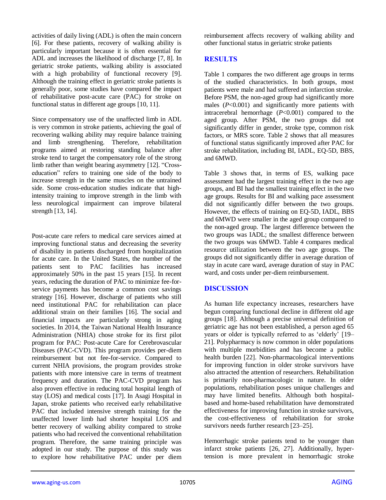activities of daily living (ADL) is often the main concern [6]. For these patients, recovery of walking ability is particularly important because it is often essential for ADL and increases the likelihood of discharge [7, 8]. In geriatric stroke patients, walking ability is associated with a high probability of functional recovery [9]. Although the training effect in geriatric stroke patients is generally poor, some studies have compared the impact of rehabilitative post-acute care (PAC) for stroke on functional status in different age groups [10, 11].

Since compensatory use of the unaffected limb in ADL is very common in stroke patients, achieving the goal of recovering walking ability may require balance training and limb strengthening. Therefore, rehabilitation programs aimed at restoring standing balance after stroke tend to target the compensatory role of the strong limb rather than weight bearing asymmetry [12]. "Crosseducation" refers to training one side of the body to increase strength in the same muscles on the untrained side. Some cross-education studies indicate that highintensity training to improve strength in the limb with less neurological impairment can improve bilateral strength [13, 14].

Post-acute care refers to medical care services aimed at improving functional status and decreasing the severity of disability in patients discharged from hospitalization for acute care. In the United States, the number of the patients sent to PAC facilities has increased approximately 50% in the past 15 years [15]. In recent years, reducing the duration of PAC to minimize fee-forservice payments has become a common cost savings strategy [16]. However, discharge of patients who still need institutional PAC for rehabilitation can place additional strain on their families [16]. The social and financial impacts are particularly strong in aging societies. In 2014, the Taiwan National Health Insurance Administration (NHIA) chose stroke for its first pilot program for PAC: Post-acute Care for Cerebrovascular Diseases (PAC-CVD). This program provides per-diem reimbursement but not fee-for-service. Compared to current NHIA provisions, the program provides stroke patients with more intensive care in terms of treatment frequency and duration. The PAC-CVD program has also proven effective in reducing total hospital length of stay (LOS) and medical costs [17]. In Asagi Hospital in Japan, stroke patients who received early rehabilitative PAC that included intensive strength training for the unaffected lower limb had shorter hospital LOS and better recovery of walking ability compared to stroke patients who had received the conventional rehabilitation program. Therefore, the same training principle was adopted in our study. The purpose of this study was to explore how rehabilitative PAC under per diem

reimbursement affects recovery of walking ability and other functional status in geriatric stroke patients

## **RESULTS**

Table 1 compares the two different age groups in terms of the studied characteristics. In both groups, most patients were male and had suffered an infarction stroke. Before PSM, the non-aged group had significantly more males (*P*<0.001) and significantly more patients with intracerebral hemorrhage (*P*<0.001) compared to the aged group. After PSM, the two groups did not significantly differ in gender, stroke type, common risk factors, or MRS score. Table 2 shows that all measures of functional status significantly improved after PAC for stroke rehabilitation, including BI, IADL, EQ-5D, BBS, and 6MWD.

Table 3 shows that, in terms of ES, walking pace assessment had the largest training effect in the two age groups, and BI had the smallest training effect in the two age groups. Results for BI and walking pace assessment did not significantly differ between the two groups. However, the effects of training on EQ-5D, IADL, BBS and 6MWD were smaller in the aged group compared to the non-aged group. The largest difference between the two groups was IADL; the smallest difference between the two groups was 6MWD. Table 4 compares medical resource utilization between the two age groups. The groups did not significantly differ in average duration of stay in acute care ward, average duration of stay in PAC ward, and costs under per-diem reimbursement.

# **DISCUSSION**

As human life expectancy increases, researchers have begun comparing functional decline in different old age groups [18]. Although a precise universal definition of geriatric age has not been established, a person aged 65 years or older is typically referred to as 'elderly' [19– 21]. Polypharmacy is now common in older populations with multiple morbidities and has become a public health burden [22]. Non-pharmacological interventions for improving function in older stroke survivors have also attracted the attention of researchers. Rehabilitation is primarily non-pharmacologic in nature. In older populations, rehabilitation poses unique challenges and may have limited benefits. Although both hospitalbased and home-based rehabilitation have demonstrated effectiveness for improving function in stroke survivors, the cost-effectiveness of rehabilitation for stroke survivors needs further research [23–25].

Hemorrhagic stroke patients tend to be younger than infarct stroke patients [26, 27]. Additionally, hypertension is more prevalent in hemorrhagic stroke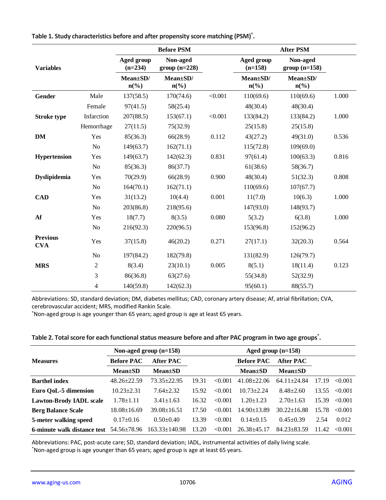|                               |                |                                         | <b>Before PSM</b>                       |         | <b>After PSM</b>               |                                         |       |  |
|-------------------------------|----------------|-----------------------------------------|-----------------------------------------|---------|--------------------------------|-----------------------------------------|-------|--|
| <b>Variables</b>              |                | <b>Aged group</b><br>$(n=234)$          | Non-aged<br>$group (n=228)$             |         | Aged group<br>$(n=158)$        | Non-aged<br>$group (n=158)$             |       |  |
|                               |                | Mean±SD/<br>$n\left(\frac{0}{0}\right)$ | Mean±SD/<br>$n\left(\frac{0}{0}\right)$ |         | Mean±SD/<br>$n\left(\%\right)$ | Mean±SD/<br>$n\left(\frac{0}{0}\right)$ |       |  |
| Gender                        | Male           | 137(58.5)                               | 170(74.6)                               | < 0.001 | 110(69.6)                      | 110(69.6)                               | 1.000 |  |
|                               | Female         | 97(41.5)                                | 58(25.4)                                |         | 48(30.4)                       | 48(30.4)                                |       |  |
| <b>Stroke type</b>            | Infarction     | 207(88.5)                               | 153(67.1)                               | < 0.001 | 133(84.2)                      | 133(84.2)                               | 1.000 |  |
|                               | Hemorrhage     | 27(11.5)                                | 75(32.9)                                |         | 25(15.8)                       | 25(15.8)                                |       |  |
| DM                            | Yes            | 85(36.3)                                | 66(28.9)                                | 0.112   | 43(27.2)                       | 49(31.0)                                | 0.536 |  |
|                               | N <sub>o</sub> | 149(63.7)                               | 162(71.1)                               |         | 115(72.8)                      | 109(69.0)                               |       |  |
| <b>Hypertension</b>           | Yes            | 149(63.7)                               | 142(62.3)                               | 0.831   | 97(61.4)                       | 100(63.3)                               | 0.816 |  |
|                               | N <sub>o</sub> | 85(36.3)                                | 86(37.7)                                |         | 61(38.6)                       | 58(36.7)                                |       |  |
| <b>Dyslipidemia</b>           | Yes            | 70(29.9)                                | 66(28.9)                                | 0.900   | 48(30.4)                       | 51(32.3)                                | 0.808 |  |
|                               | N <sub>o</sub> | 164(70.1)                               | 162(71.1)                               |         | 110(69.6)                      | 107(67.7)                               |       |  |
| <b>CAD</b>                    | Yes            | 31(13.2)                                | 10(4.4)                                 | 0.001   | 11(7.0)                        | 10(6.3)                                 | 1.000 |  |
|                               | N <sub>o</sub> | 203(86.8)                               | 218(95.6)                               |         | 147(93.0)                      | 148(93.7)                               |       |  |
| Af                            | Yes            | 18(7.7)                                 | 8(3.5)                                  | 0.080   | 5(3.2)                         | 6(3.8)                                  | 1.000 |  |
|                               | N <sub>o</sub> | 216(92.3)                               | 220(96.5)                               |         | 153(96.8)                      | 152(96.2)                               |       |  |
| <b>Previous</b><br><b>CVA</b> | Yes            | 37(15.8)                                | 46(20.2)                                | 0.271   | 27(17.1)                       | 32(20.3)                                | 0.564 |  |
|                               | N <sub>o</sub> | 197(84.2)                               | 182(79.8)                               |         | 131(82.9)                      | 126(79.7)                               |       |  |
| <b>MRS</b>                    | $\overline{2}$ | 8(3.4)                                  | 23(10.1)                                | 0.005   | 8(5.1)                         | 18(11.4)                                | 0.123 |  |
|                               | 3              | 86(36.8)                                | 63(27.6)                                |         | 55(34.8)                       | 52(32.9)                                |       |  |
|                               | 4              | 140(59.8)                               | 142(62.3)                               |         | 95(60.1)                       | 88(55.7)                                |       |  |

**Table 1. Study characteristics before and after propensity score matching (PSM)\* .**

Abbreviations: SD, standard deviation; DM, diabetes mellitus; CAD, coronary artery disease; Af, atrial fibrillation; CVA, cerebrovascular accident; MRS, modified Rankin Scale.

\*Non-aged group is age younger than 65 years; aged group is age at least 65 years.

| Table 2. Total score for each functional status measure before and after PAC program in two age groups <sup>*</sup> . |  |
|-----------------------------------------------------------------------------------------------------------------------|--|
|                                                                                                                       |  |

|                                | Non-aged group $(n=158)$ |                     |       | Aged group $(n=158)$ |                   |                 |       |         |
|--------------------------------|--------------------------|---------------------|-------|----------------------|-------------------|-----------------|-------|---------|
| <b>Measures</b>                | <b>Before PAC</b>        | After PAC           |       |                      | <b>Before PAC</b> | After PAC       |       |         |
|                                | $Mean \pm SD$            | $Mean \pm SD$       |       |                      | $Mean \pm SD$     | $Mean \pm SD$   |       |         |
| <b>Barthel index</b>           | $48.26 \pm 22.59$        | 73.35+22.95         | 19.31 | <0.001               | $41.08 + 22.06$   | $64.11 + 24.84$ | 17.19 | <0.001  |
| Euro QoL-5 dimension           | $10.23 + 2.31$           | $7.64 + 2.32$       | 15.92 | < 0.001              | $10.73 + 2.24$    | $8.48 \pm 2.60$ | 13.55 | < 0.001 |
| <b>Lawton-Brody IADL scale</b> | $1.78 + 1.11$            | $3.41 \pm 1.63$     | 16.32 | < 0.001              | $1.20 + 1.23$     | $2.70 + 1.63$   | 15.39 | < 0.001 |
| <b>Berg Balance Scale</b>      | $18.08 \pm 16.69$        | $39.08 \pm 16.51$   | 17.50 | <0.001               | $14.90 + 13.89$   | $30.22 + 16.88$ | 15.78 | < 0.001 |
| 5-meter walking speed          | $0.17 \pm 0.16$          | $0.50+0.40$         | 13.39 | < 0.001              | $0.14 + 0.15$     | $0.45+0.39$     | 2.54  | 0.012   |
| 6-minute walk distance test    | 54.56±78.96              | $163.33 \pm 140.98$ | 13.20 | < 0.001              | $26.38 \pm 45.17$ | $84.23 + 83.59$ | 11.42 | < 0.001 |

Abbreviations: PAC, post-acute care; SD, standard deviation; IADL, instrumental activities of daily living scale.

\*Non-aged group is age younger than 65 years; aged group is age at least 65 years.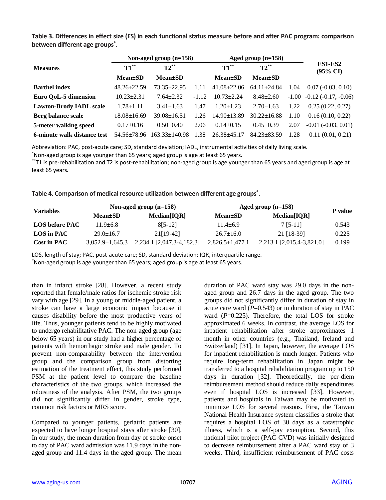|                                | Non-aged group $(n=158)$ |                     |         |                   | Aged group $(n=158)$ |                                |                                  |  |
|--------------------------------|--------------------------|---------------------|---------|-------------------|----------------------|--------------------------------|----------------------------------|--|
| <b>Measures</b>                | $T1^{**}$                | $T2^{**}$           |         | $T1^{**}$         | $T2^{**}$            | ES1-ES2<br>$(95\% \text{ CI})$ |                                  |  |
|                                | $Mean \pm SD$            | $Mean \pm SD$       |         | $Mean \pm SD$     | $Mean \pm SD$        |                                |                                  |  |
| <b>Barthel index</b>           | $48.26 \pm 22.59$        | $73.35 + 22.95$     | 1.11    | $41.08 \pm 22.06$ | $64.11 \pm 24.84$    | 1.04                           | $0.07(-0.03, 0.10)$              |  |
| Euro QoL-5 dimension           | $10.23 \pm 2.31$         | $7.64 \pm 2.32$     | $-1.12$ | $10.73 \pm 2.24$  | $8.48 \pm 2.60$      |                                | $-1.00$ $-0.12$ $(-0.17, -0.06)$ |  |
| <b>Lawton-Brody IADL scale</b> | $1.78 \pm 1.11$          | $3.41 \pm 1.63$     | 1.47    | $1.20 \pm 1.23$   | $2.70 \pm 1.63$      | 1.22                           | 0.25(0.22, 0.27)                 |  |
| Berg balance scale             | $18.08 \pm 16.69$        | $39.08 \pm 16.51$   | 1.26    | $14.90 \pm 13.89$ | $30.22 \pm 16.88$    | 1.10                           | 0.16(0.10, 0.22)                 |  |
| 5-meter walking speed          | $0.17 \pm 0.16$          | $0.50 \pm 0.40$     | 2.06    | $0.14 \pm 0.15$   | $0.45 \pm 0.39$      | 2.07                           | $-0.01$ $(-0.03, 0.01)$          |  |
| 6-minute walk distance test    | $54.56 \pm 78.96$        | $163.33 \pm 140.98$ | 1.38    | $26.38 \pm 45.17$ | $84.23 \pm 83.59$    | 1.28                           | 0.11(0.01, 0.21)                 |  |

**Table 3. Differences in effect size (ES) in each functional status measure before and after PAC program: comparison between different age groups\* .**

Abbreviation: PAC, post-acute care; SD, standard deviation; IADL, instrumental activities of daily living scale.

\*Non-aged group is age younger than 65 years; aged group is age at least 65 years.

\*\*T1 is pre-rehabilitation and T2 is post-rehabilitation; non-aged group is age younger than 65 years and aged group is age at least 65 years.

|  |  |  | Table 4. Comparison of medical resource utilization between different age groups <sup>*</sup> . |
|--|--|--|-------------------------------------------------------------------------------------------------|
|  |  |  |                                                                                                 |

| <b>Variables</b>   |                       | Non-aged group $(n=158)$  | Aged group $(n=158)$  |                           |         |
|--------------------|-----------------------|---------------------------|-----------------------|---------------------------|---------|
|                    | <b>Mean</b> ±SD       | Median[IOR]               | <b>Mean</b> ±SD       | Median[IOR]               | P value |
| LOS before PAC     | $11.9 + 6.8$          | $8[5-12]$                 | $11.4 + 6.9$          | 7 [5-11]                  | 0.543   |
| LOS in PAC         | $29.0 \pm 16.7$       | 21[19-42]                 | $26.7 \pm 16.0$       | 21 [18-39]                | 0.225   |
| <b>Cost in PAC</b> | $3.052.9 \pm 1.645.3$ | 2,234.1 [2,047.3-4,182.3] | $2,826.5 \pm 1,477.1$ | 2,213.1 [2,015.4-3,821.0] | 0.199   |

LOS, length of stay; PAC, post-acute care; SD, standard deviation; IQR, interquartile range.

\*Non-aged group is age younger than 65 years; aged group is age at least 65 years.

than in infarct stroke [28]. However, a recent study reported that female/male ratios for ischemic stroke risk vary with age [29]. In a young or middle-aged patient, a stroke can have a large economic impact because it causes disability before the most productive years of life. Thus, younger patients tend to be highly motivated to undergo rehabilitative PAC. The non-aged group (age below 65 years) in our study had a higher percentage of patients with hemorrhagic stroke and male gender. To prevent non-comparability between the intervention group and the comparison group from distorting estimation of the treatment effect, this study performed PSM at the patient level to compare the baseline characteristics of the two groups, which increased the robustness of the analysis. After PSM, the two groups did not significantly differ in gender, stroke type, common risk factors or MRS score.

Compared to younger patients, geriatric patients are expected to have longer hospital stays after stroke [30]. In our study, the mean duration from day of stroke onset to day of PAC ward admission was 11.9 days in the nonaged group and 11.4 days in the aged group. The mean duration of PAC ward stay was 29.0 days in the nonaged group and 26.7 days in the aged group. The two groups did not significantly differ in duration of stay in acute care ward  $(P=0.543)$  or in duration of stay in PAC ward (P=0.225). Therefore, the total LOS for stroke approximated 6 weeks. In contrast, the average LOS for inpatient rehabilitation after stroke approximates 1 month in other countries (e.g., Thailand, Ireland and Switzerland) [31]. In Japan, however, the average LOS for inpatient rehabilitation is much longer. Patients who require long-term rehabilitation in Japan might be transferred to a hospital rehabilitation program up to 150 days in duration [32]. Theoretically, the per-diem reimbursement method should reduce daily expenditures even if hospital LOS is increased [33]. However, patients and hospitals in Taiwan may be motivated to minimize LOS for several reasons. First, the Taiwan National Health Insurance system classifies a stroke that requires a hospital LOS of 30 days as a catastrophic illness, which is a self-pay exemption. Second, this national pilot project (PAC-CVD) was initially designed to decrease reimbursement after a PAC ward stay of 3 weeks. Third, insufficient reimbursement of PAC costs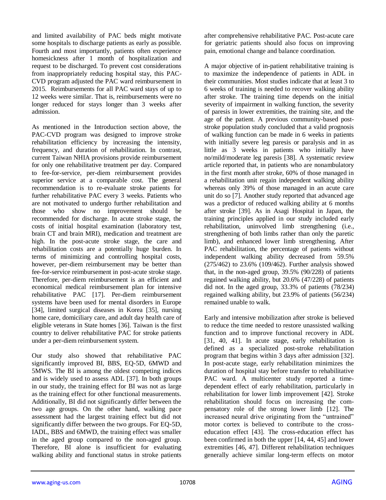and limited availability of PAC beds might motivate some hospitals to discharge patients as early as possible. Fourth and most importantly, patients often experience homesickness after 1 month of hospitalization and request to be discharged. To prevent cost considerations from inappropriately reducing hospital stay, this PAC-CVD program adjusted the PAC ward reimbursement in 2015. Reimbursements for all PAC ward stays of up to 12 weeks were similar. That is, reimbursements were no longer reduced for stays longer than 3 weeks after admission.

As mentioned in the Introduction section above, the PAC-CVD program was designed to improve stroke rehabilitation efficiency by increasing the intensity, frequency, and duration of rehabilitation. In contrast, current Taiwan NHIA provisions provide reimbursement for only one rehabilitative treatment per day. Compared to fee-for-service, per-diem reimbursement provides superior service at a comparable cost. The general recommendation is to re-evaluate stroke patients for further rehabilitative PAC every 3 weeks. Patients who are not motivated to undergo further rehabilitation and those who show no improvement should be recommended for discharge. In acute stroke stage, the costs of initial hospital examination (laboratory test, brain CT and brain MRI), medication and treatment are high. In the post-acute stroke stage, the care and rehabilitation costs are a potentially huge burden. In terms of minimizing and controlling hospital costs, however, per-diem reimbursement may be better than fee-for-service reimbursement in post-acute stroke stage. Therefore, per-diem reimbursement is an efficient and economical medical reimbursement plan for intensive rehabilitative PAC [17]. Per-diem reimbursement systems have been used for mental disorders in Europe [34], limited surgical diseases in Korea [35], nursing home care, domiciliary care, and adult day health care of eligible veterans in State homes [36]. Taiwan is the first country to deliver rehabilitative PAC for stroke patients under a per-diem reimbursement system.

Our study also showed that rehabilitative PAC significantly improved BI, BBS, EQ-5D, 6MWD and 5MWS. The BI is among the oldest competing indices and is widely used to assess ADL [37]. In both groups in our study, the training effect for BI was not as large as the training effect for other functional measurements. Additionally, BI did not significantly differ between the two age groups. On the other hand, walking pace assessment had the largest training effect but did not significantly differ between the two groups. For EQ-5D, IADL, BBS and 6MWD, the training effect was smaller in the aged group compared to the non-aged group. Therefore, BI alone is insufficient for evaluating walking ability and functional status in stroke patients after comprehensive rehabilitative PAC. Post-acute care for geriatric patients should also focus on improving pain, emotional change and balance coordination.

A major objective of in-patient rehabilitative training is to maximize the independence of patients in ADL in their communities. Most studies indicate that at least 3 to 6 weeks of training is needed to recover walking ability after stroke. The training time depends on the initial severity of impairment in walking function, the severity of paresis in lower extremities, the training site, and the age of the patient. A previous community-based poststroke population study concluded that a valid prognosis of walking function can be made in 6 weeks in patients with initially severe leg paresis or paralysis and in as little as 3 weeks in patients who initially have no/mild/moderate leg paresis [38]. A systematic review article reported that, in patients who are nonambulatory in the first month after stroke, 60% of those managed in a rehabilitation unit regain independent walking ability whereas only 39% of those managed in an acute care unit do so [7]. Another study reported that advanced age was a predictor of reduced walking ability at 6 months after stroke [39]. As in Asagi Hospital in Japan, the training principles applied in our study included early rehabilitation, uninvolved limb strengthening (i.e., strengthening of both limbs rather than only the paretic limb), and enhanced lower limb strengthening. After PAC rehabilitation, the percentage of patients without independent walking ability decreased from 59.5% (275/462) to 23.6% (109/462). Further analysis showed that, in the non-aged group, 39.5% (90/228) of patients regained walking ability, but 20.6% (47/228) of patients did not. In the aged group, 33.3% of patients (78/234) regained walking ability, but 23.9% of patients (56/234) remained unable to walk.

Early and intensive mobilization after stroke is believed to reduce the time needed to restore unassisted walking function and to improve functional recovery in ADL [31, 40, 41]. In acute stage, early rehabilitation is defined as a specialized post-stroke rehabilitation program that begins within 3 days after admission [32]. In post-acute stage, early rehabilitation minimizes the duration of hospital stay before transfer to rehabilitative PAC ward. A multicenter study reported a timedependent effect of early rehabilitation, particularly in rehabilitation for lower limb improvement [42]. Stroke rehabilitation should focus on increasing the compensatory role of the strong lower limb [12]. The increased neural drive originating from the "untrained" motor cortex is believed to contribute to the crosseducation effect [43]. The cross-education effect has been confirmed in both the upper [14, 44, 45] and lower extremities [46, 47]. Different rehabilitation techniques generally achieve similar long-term effects on motor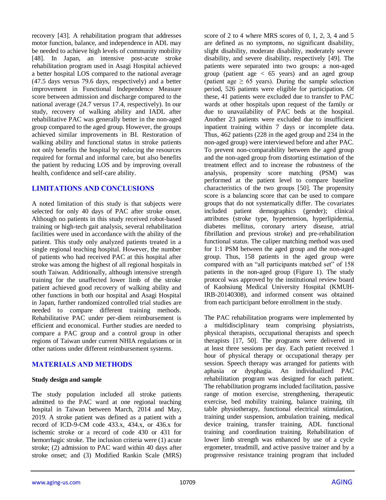recovery [43]. A rehabilitation program that addresses motor function, balance, and independence in ADL may be needed to achieve high levels of community mobility [48]. In Japan, an intensive post-acute stroke rehabilitation program used in Asagi Hospital achieved a better hospital LOS compared to the national average (47.5 days versus 79.6 days, respectively) and a better improvement in Functional Independence Measure score between admission and discharge compared to the national average (24.7 versus 17.4, respectively). In our study, recovery of walking ability and IADL after rehabilitative PAC was generally better in the non-aged group compared to the aged group. However, the groups achieved similar improvements in BI. Restoration of walking ability and functional status in stroke patients not only benefits the hospital by reducing the resources required for formal and informal care, but also benefits the patient by reducing LOS and by improving overall health, confidence and self-care ability.

## **LIMITATIONS AND CONCLUSIONS**

A noted limitation of this study is that subjects were selected for only 40 days of PAC after stroke onset. Although no patients in this study received robot-based training or high-tech gait analysis, several rehabilitation facilities were used in accordance with the ability of the patient. This study only analyzed patients treated in a single regional teaching hospital. However, the number of patients who had received PAC at this hospital after stroke was among the highest of all regional hospitals in south Taiwan. Additionally, although intensive strength training for the unaffected lower limb of the stroke patient achieved good recovery of walking ability and other functions in both our hospital and Asagi Hospital in Japan, further randomized controlled trial studies are needed to compare different training methods. Rehabilitative PAC under per-diem reimbursement is efficient and economical. Further studies are needed to compare a PAC group and a control group in other regions of Taiwan under current NHIA regulations or in other nations under different reimbursement systems.

# **MATERIALS AND METHODS**

#### **Study design and sample**

The study population included all stroke patients admitted to the PAC ward at one regional teaching hospital in Taiwan between March, 2014 and May, 2019. A stroke patient was defined as a patient with a record of ICD-9-CM code 433.x, 434.x, or 436.x for ischemic stroke or a record of code 430 or 431 for hemorrhagic stroke. The inclusion criteria were (1) acute stroke; (2) admission to PAC ward within 40 days after stroke onset; and (3) Modified Rankin Scale (MRS) score of 2 to 4 where MRS scores of 0, 1, 2, 3, 4 and 5 are defined as no symptoms, no significant disability, slight disability, moderate disability, moderately severe disability, and severe disability, respectively [49]. The patients were separated into two groups: a non-aged group (patient age  $\lt$  65 years) and an aged group (patient age  $\geq 65$  years). During the sample selection period, 526 patients were eligible for participation. Of these, 41 patients were excluded due to transfer to PAC wards at other hospitals upon request of the family or due to unavailability of PAC beds at the hospital. Another 23 patients were excluded due to insufficient inpatient training within 7 days or incomplete data. Thus, 462 patients (228 in the aged group and 234 in the non-aged group) were interviewed before and after PAC. To prevent non-comparability between the aged group and the non-aged group from distorting estimation of the treatment effect and to increase the robustness of the analysis, propensity score matching (PSM) was performed at the patient level to compare baseline characteristics of the two groups [50]. The propensity score is a balancing score that can be used to compare groups that do not systematically differ. The covariates included patient demographics (gender); clinical attributes (stroke type, hypertension, hyperlipidemia, diabetes mellitus, coronary artery disease, atrial fibrillation and previous stroke) and pre-rehabilitation functional status. The caliper matching method was used for 1:1 PSM between the aged group and the non-aged group. Thus, 158 patients in the aged group were compared with an "all participants matched set" of 158 patients in the non-aged group (Figure 1). The study protocol was approved by the institutional review board of Kaohsiung Medical University Hospital (KMUH-IRB-20140308), and informed consent was obtained from each participant before enrollment in the study.

The PAC rehabilitation programs were implemented by a multidisciplinary team comprising physiatrists, physical therapists, occupational therapists and speech therapists [17, 50]. The programs were delivered in at least three sessions per day. Each patient received 1 hour of physical therapy or occupational therapy per session. Speech therapy was arranged for patients with aphasia or dysphagia. An individualized PAC rehabilitation program was designed for each patient. The rehabilitation programs included facilitation, passive range of motion exercise, strengthening, therapeutic exercise, bed mobility training, balance training, tilt table physiotherapy, functional electrical stimulation, training under suspension, ambulation training, medical device training, transfer training, ADL functional training and coordination training. Rehabilitation of lower limb strength was enhanced by use of a cycle ergometer, treadmill, and active passive trainer and by a progressive resistance training program that included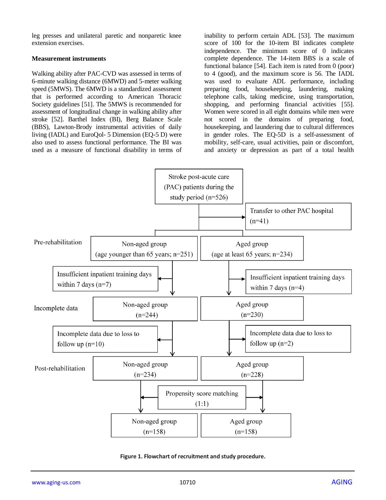leg presses and unilateral paretic and nonparetic knee extension exercises.

#### **Measurement instruments**

Walking ability after PAC-CVD was assessed in terms of 6-minute walking distance (6MWD) and 5-meter walking speed (5MWS). The 6MWD is a standardized assessment that is performed according to American Thoracic Society guidelines [51]. The 5MWS is recommended for assessment of longitudinal change in walking ability after stroke [52]. Barthel Index (BI), Berg Balance Scale (BBS), Lawton-Brody instrumental activities of daily living (IADL) and EuroQol- 5 Dimension (EQ-5 D) were also used to assess functional performance. The BI was used as a measure of functional disability in terms of

inability to perform certain ADL [53]. The maximum score of 100 for the 10-item BI indicates complete independence. The minimum score of 0 indicates complete dependence. The 14-item BBS is a scale of functional balance [54]. Each item is rated from 0 (poor) to 4 (good), and the maximum score is 56. The IADL was used to evaluate ADL performance, including preparing food, housekeeping, laundering, making telephone calls, taking medicine, using transportation, shopping, and performing financial activities [55]. Women were scored in all eight domains while men were not scored in the domains of preparing food, housekeeping, and laundering due to cultural differences in gender roles. The EQ-5D is a self-assessment of mobility, self-care, usual activities, pain or discomfort, and anxiety or depression as part of a total health



**Figure 1. Flowchart of recruitment and study procedure.**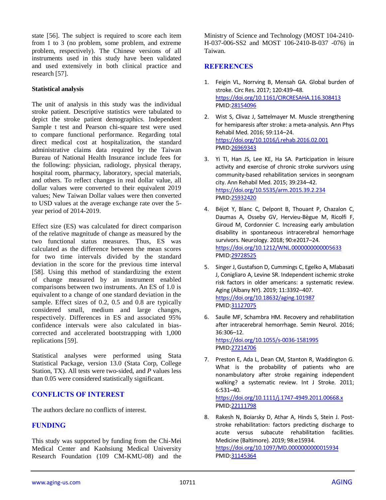state [56]. The subject is required to score each item from 1 to 3 (no problem, some problem, and extreme problem, respectively). The Chinese versions of all instruments used in this study have been validated and used extensively in both clinical practice and research [57].

#### **Statistical analysis**

The unit of analysis in this study was the individual stroke patient. Descriptive statistics were tabulated to depict the stroke patient demographics. Independent Sample t test and Pearson chi-square test were used to compare functional performance. Regarding total direct medical cost at hospitalization, the standard administrative claims data required by the Taiwan Bureau of National Health Insurance include fees for the following: physician, radiology, physical therapy, hospital room, pharmacy, laboratory, special materials, and others. To reflect changes in real dollar value, all dollar values were converted to their equivalent 2019 values; New Taiwan Dollar values were then converted to USD values at the average exchange rate over the 5 year period of 2014-2019.

Effect size (ES) was calculated for direct comparison of the relative magnitude of change as measured by the two functional status measures. Thus, ES was calculated as the difference between the mean scores for two time intervals divided by the standard deviation in the score for the previous time interval [58]. Using this method of standardizing the extent of change measured by an instrument enabled comparisons between two instruments. An ES of 1.0 is equivalent to a change of one standard deviation in the sample. Effect sizes of 0.2, 0.5 and 0.8 are typically considered small, medium and large changes, respectively. Differences in ES and associated 95% confidence intervals were also calculated in biascorrected and accelerated bootstrapping with 1,000 replications [59].

Statistical analyses were performed using Stata Statistical Package, version 13.0 (Stata Corp, College Station, TX). All tests were two-sided, and *P* values less than 0.05 were considered statistically significant.

## **CONFLICTS OF INTEREST**

The authors declare no conflicts of interest.

# **FUNDING**

This study was supported by funding from the Chi-Mei Medical Center and Kaohsiung Medical University Research Foundation (109 CM-KMU-08) and the

Ministry of Science and Technology (MOST 104-2410- H-037-006-SS2 and MOST 106-2410-B-037 -076) in Taiwan.

## **REFERENCES**

- 1. Feigin VL, Norrving B, Mensah GA. Global burden of stroke. Circ Res. 2017; 120:439–48. <https://doi.org/10.1161/CIRCRESAHA.116.308413> PMI[D:28154096](https://pubmed.ncbi.nlm.nih.gov/28154096)
- 2. Wist S, Clivaz J, Sattelmayer M. Muscle strengthening for hemiparesis after stroke: a meta-analysis. Ann Phys Rehabil Med. 2016; 59:114–24. <https://doi.org/10.1016/j.rehab.2016.02.001> PMI[D:26969343](https://pubmed.ncbi.nlm.nih.gov/26969343)
- 3. Yi TI, Han JS, Lee KE, Ha SA. Participation in leisure activity and exercise of chronic stroke survivors using community-based rehabilitation services in seongnam city. Ann Rehabil Med. 2015; 39:234–42. <https://doi.org/10.5535/arm.2015.39.2.234> PMI[D:25932420](https://pubmed.ncbi.nlm.nih.gov/25932420)
- 4. Béjot Y, Blanc C, Delpont B, Thouant P, Chazalon C, Daumas A, Osseby GV, Hervieu-Bègue M, Ricolfi F, Giroud M, Cordonnier C. Increasing early ambulation disability in spontaneous intracerebral hemorrhage survivors. Neurology. 2018; 90:e2017–24. <https://doi.org/10.1212/WNL.0000000000005633> PMI[D:29728525](https://pubmed.ncbi.nlm.nih.gov/29728525)
- 5. Singer J, Gustafson D, Cummings C, Egelko A, Mlabasati J, Conigliaro A, Levine SR. Independent ischemic stroke risk factors in older americans: a systematic review. Aging (Albany NY). 2019; 11:3392–407. <https://doi.org/10.18632/aging.101987> PMI[D:31127075](https://pubmed.ncbi.nlm.nih.gov/31127075)
- 6. Saulle MF, Schambra HM. Recovery and rehabilitation after intracerebral hemorrhage. Semin Neurol. 2016; 36:306–12. <https://doi.org/10.1055/s-0036-1581995> PMI[D:27214706](https://pubmed.ncbi.nlm.nih.gov/27214706)
- 7. Preston E, Ada L, Dean CM, Stanton R, Waddington G. What is the probability of patients who are nonambulatory after stroke regaining independent walking? a systematic review. Int J Stroke. 2011; 6:531–40. <https://doi.org/10.1111/j.1747-4949.2011.00668.x> PMI[D:22111798](https://pubmed.ncbi.nlm.nih.gov/22111798)
- 8. Rakesh N, Boiarsky D, Athar A, Hinds S, Stein J. Poststroke rehabilitation: factors predicting discharge to acute versus subacute rehabilitation facilities. Medicine (Baltimore). 2019; 98:e15934. <https://doi.org/10.1097/MD.0000000000015934> PMI[D:31145364](https://pubmed.ncbi.nlm.nih.gov/31145364)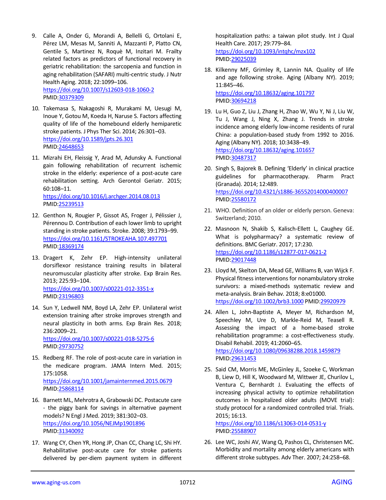- 9. Calle A, Onder G, Morandi A, Bellelli G, Ortolani E, Pérez LM, Mesas M, Sanniti A, Mazzanti P, Platto CN, Gentile S, Martinez N, Roquè M, Inzitari M. Frailty related factors as predictors of functional recovery in geriatric rehabilitation: the sarcopenia and function in aging rehabilitation (SAFARI) multi-centric study. J Nutr Health Aging. 2018; 22:1099–106. <https://doi.org/10.1007/s12603-018-1060-2> PMID[:30379309](https://pubmed.ncbi.nlm.nih.gov/30379309)
- 10. Takemasa S, Nakagoshi R, Murakami M, Uesugi M, Inoue Y, Gotou M, Koeda H, Naruse S. Factors affecting quality of life of the homebound elderly hemiparetic stroke patients. J Phys Ther Sci. 2014; 26:301–03. <https://doi.org/10.1589/jpts.26.301> PMID[:24648653](https://pubmed.ncbi.nlm.nih.gov/24648653)
- 11. Mizrahi EH, Fleissig Y, Arad M, Adunsky A. Functional gain following rehabilitation of recurrent ischemic stroke in the elderly: experience of a post-acute care rehabilitation setting. Arch Gerontol Geriatr. 2015; 60:108–11. <https://doi.org/10.1016/j.archger.2014.08.013>

PMID[:25239513](https://pubmed.ncbi.nlm.nih.gov/25239513)

- 12. Genthon N, Rougier P, Gissot AS, Froger J, Pélissier J, Pérennou D. Contribution of each lower limb to upright standing in stroke patients. Stroke. 2008; 39:1793–99. <https://doi.org/10.1161/STROKEAHA.107.497701> PMID[:18369174](https://pubmed.ncbi.nlm.nih.gov/18369174)
- 13. Dragert K, Zehr EP. High-intensity unilateral dorsiflexor resistance training results in bilateral neuromuscular plasticity after stroke. Exp Brain Res. 2013; 225:93–104. <https://doi.org/10.1007/s00221-012-3351-x> PMID[:23196803](https://pubmed.ncbi.nlm.nih.gov/23196803)
- 14. Sun Y, Ledwell NM, Boyd LA, Zehr EP. Unilateral wrist extension training after stroke improves strength and neural plasticity in both arms. Exp Brain Res. 2018; 236:2009–21. <https://doi.org/10.1007/s00221-018-5275-6> PMID[:29730752](https://pubmed.ncbi.nlm.nih.gov/29730752)
- 15. Redberg RF. The role of post-acute care in variation in the medicare program. JAMA Intern Med. 2015; 175:1058. <https://doi.org/10.1001/jamainternmed.2015.0679> PMID[:25868114](https://pubmed.ncbi.nlm.nih.gov/25868114)
- 16. Barnett ML, Mehrotra A, Grabowski DC. Postacute care - the piggy bank for savings in alternative payment models? N Engl J Med. 2019; 381:302–03. <https://doi.org/10.1056/NEJMp1901896> PMID[:31340092](https://pubmed.ncbi.nlm.nih.gov/31340092)
- 17. Wang CY, Chen YR, Hong JP, Chan CC, Chang LC, Shi HY. Rehabilitative post-acute care for stroke patients delivered by per-diem payment system in different

hospitalization paths: a taiwan pilot study. Int J Qual Health Care. 2017; 29:779–84. <https://doi.org/10.1093/intqhc/mzx102> PMI[D:29025039](https://pubmed.ncbi.nlm.nih.gov/29025039)

- 18. Kilkenny MF, Grimley R, Lannin NA. Quality of life and age following stroke. Aging (Albany NY). 2019; 11:845–46. <https://doi.org/10.18632/aging.101797> PMI[D:30694218](https://pubmed.ncbi.nlm.nih.gov/30694218)
- 19. Lu H, Guo Z, Liu J, Zhang H, Zhao W, Wu Y, Ni J, Liu W, Tu J, Wang J, Ning X, Zhang J. Trends in stroke incidence among elderly low-income residents of rural China: a population-based study from 1992 to 2016. Aging (Albany NY). 2018; 10:3438–49. <https://doi.org/10.18632/aging.101657> PMI[D:30487317](https://pubmed.ncbi.nlm.nih.gov/30487317)
- 20. Singh S, Bajorek B. Defining 'Elderly' in clinical practice guidelines for pharmacotherapy. Pharm Pract (Granada). 2014; 12:489. <https://doi.org/10.4321/s1886-36552014000400007> PMI[D:25580172](https://pubmed.ncbi.nlm.nih.gov/25580172)
- 21. WHO. Definition of an older or elderly person. Geneva: Switzerland; 2010.
- 22. Masnoon N, Shakib S, Kalisch-Ellett L, Caughey GE. What is polypharmacy? a systematic review of definitions. BMC Geriatr. 2017; 17:230. <https://doi.org/10.1186/s12877-017-0621-2> PMI[D:29017448](https://pubmed.ncbi.nlm.nih.gov/29017448)
- 23. Lloyd M, Skelton DA, Mead GE, Williams B, van Wijck F. Physical fitness interventions for nonambulatory stroke survivors: a mixed-methods systematic review and meta-analysis. Brain Behav. 2018; 8:e01000. <https://doi.org/10.1002/brb3.1000> PMI[D:29920979](https://pubmed.ncbi.nlm.nih.gov/29920979)
- 24. Allen L, John-Baptiste A, Meyer M, Richardson M, Speechley M, Ure D, Markle-Reid M, Teasell R. Assessing the impact of a home-based stroke rehabilitation programme: a cost-effectiveness study. Disabil Rehabil. 2019; 41:2060–65. <https://doi.org/10.1080/09638288.2018.1459879> PMI[D:29631453](https://pubmed.ncbi.nlm.nih.gov/29631453)
- 25. Said CM, Morris ME, McGinley JL, Szoeke C, Workman B, Liew D, Hill K, Woodward M, Wittwer JE, Churilov L, Ventura C, Bernhardt J. Evaluating the effects of increasing physical activity to optimize rehabilitation outcomes in hospitalized older adults (MOVE trial): study protocol for a randomized controlled trial. Trials. 2015; 16:13.

<https://doi.org/10.1186/s13063-014-0531-y> PMI[D:25588907](https://pubmed.ncbi.nlm.nih.gov/25588907)

26. Lee WC, Joshi AV, Wang Q, Pashos CL, Christensen MC. Morbidity and mortality among elderly americans with different stroke subtypes. Adv Ther. 2007; 24:258–68.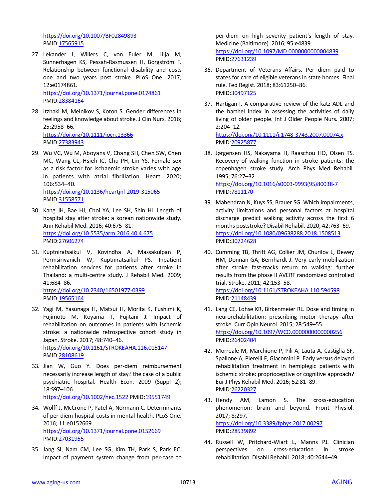<https://doi.org/10.1007/BF02849893> PMID[:17565915](https://pubmed.ncbi.nlm.nih.gov/17565915)

27. Lekander I, Willers C, von Euler M, Lilja M, Sunnerhagen KS, Pessah-Rasmussen H, Borgström F. Relationship between functional disability and costs one and two years post stroke. PLoS One. 2017; 12:e0174861.

<https://doi.org/10.1371/journal.pone.0174861> PMID[:28384164](https://pubmed.ncbi.nlm.nih.gov/28384164)

- 28. Itzhaki M, Melnikov S, Koton S. Gender differences in feelings and knowledge about stroke. J Clin Nurs. 2016; 25:2958–66. <https://doi.org/10.1111/jocn.13366> PMID[:27383943](https://pubmed.ncbi.nlm.nih.gov/27383943)
- 29. Wu VC, Wu M, Aboyans V, Chang SH, Chen SW, Chen MC, Wang CL, Hsieh IC, Chu PH, Lin YS. Female sex as a risk factor for ischaemic stroke varies with age in patients with atrial fibrillation. Heart. 2020; 106:534–40. <https://doi.org/10.1136/heartjnl-2019-315065> PMID[:31558571](https://pubmed.ncbi.nlm.nih.gov/31558571)
- 30. Kang JH, Bae HJ, Choi YA, Lee SH, Shin HI. Length of hospital stay after stroke: a korean nationwide study. Ann Rehabil Med. 2016; 40:675–81. <https://doi.org/10.5535/arm.2016.40.4.675> PMID[:27606274](https://pubmed.ncbi.nlm.nih.gov/27606274)
- 31. Kuptniratsaikul V, Kovindha A, Massakulpan P, Permsirivanich W, Kuptniratsaikul PS. Inpatient rehabilitation services for patients after stroke in Thailand: a multi-centre study. J Rehabil Med. 2009; 41:684–86. <https://doi.org/10.2340/16501977-0399>

PMID[:19565164](https://pubmed.ncbi.nlm.nih.gov/19565164)

32. Yagi M, Yasunaga H, Matsui H, Morita K, Fushimi K, Fujimoto M, Koyama T, Fujitani J. Impact of rehabilitation on outcomes in patients with ischemic stroke: a nationwide retrospective cohort study in Japan. Stroke. 2017; 48:740–46. <https://doi.org/10.1161/STROKEAHA.116.015147>

PMID[:28108619](https://pubmed.ncbi.nlm.nih.gov/28108619)

33. Jian W, Guo Y. Does per-diem reimbursement necessarily increase length of stay? the case of a public psychiatric hospital. Health Econ. 2009 (Suppl 2); 18:S97–106. <https://doi.org/10.1002/hec.1522> PMID[:19551749](https://pubmed.ncbi.nlm.nih.gov/19551749)

34. Wolff J, McCrone P, Patel A, Normann C. Determinants of per diem hospital costs in mental health. PLoS One. 2016; 11:e0152669. <https://doi.org/10.1371/journal.pone.0152669>

PMID[:27031955](https://pubmed.ncbi.nlm.nih.gov/27031955)

35. Jang SI, Nam CM, Lee SG, Kim TH, Park S, Park EC. Impact of payment system change from per-case to

per-diem on high severity patient's length of stay. Medicine (Baltimore). 2016; 95:e4839. <https://doi.org/10.1097/MD.0000000000004839> PMI[D:27631239](https://pubmed.ncbi.nlm.nih.gov/27631239)

- 36. Department of Veterans Affairs. Per diem paid to states for care of eligible veterans in state homes. Final rule. Fed Regist. 2018; 83:61250–86. PMI[D:30497125](https://pubmed.ncbi.nlm.nih.gov/30497125)
- 37. Hartigan I. A comparative review of the katz ADL and the barthel index in assessing the activities of daily living of older people. Int J Older People Nurs. 2007; 2:204–12. <https://doi.org/10.1111/j.1748-3743.2007.00074.x> PMI[D:20925877](https://pubmed.ncbi.nlm.nih.gov/20925877)
- 38. Jørgensen HS, Nakayama H, Raaschou HO, Olsen TS. Recovery of walking function in stroke patients: the copenhagen stroke study. Arch Phys Med Rehabil. 1995; 76:27–32. [https://doi.org/10.1016/s0003-9993\(95\)80038-7](https://doi.org/10.1016/s0003-9993(95)80038-7) PMI[D:7811170](https://pubmed.ncbi.nlm.nih.gov/7811170)
- 39. Mahendran N, Kuys SS, Brauer SG. Which impairments, activity limitations and personal factors at hospital discharge predict walking activity across the first 6 months poststroke? Disabil Rehabil. 2020; 42:763–69. <https://doi.org/10.1080/09638288.2018.1508513> PMI[D:30724628](https://pubmed.ncbi.nlm.nih.gov/30724628)
- 40. Cumming TB, Thrift AG, Collier JM, Churilov L, Dewey HM, Donnan GA, Bernhardt J. Very early mobilization after stroke fast-tracks return to walking: further results from the phase II AVERT randomized controlled trial. Stroke. 2011; 42:153–58. <https://doi.org/10.1161/STROKEAHA.110.594598> PMI[D:21148439](https://pubmed.ncbi.nlm.nih.gov/21148439)
- 41. Lang CE, Lohse KR, Birkenmeier RL. Dose and timing in neurorehabilitation: prescribing motor therapy after stroke. Curr Opin Neurol. 2015; 28:549–55. <https://doi.org/10.1097/WCO.0000000000000256> PMI[D:26402404](https://pubmed.ncbi.nlm.nih.gov/26402404)
- 42. Morreale M, Marchione P, Pili A, Lauta A, Castiglia SF, Spallone A, Pierelli F, Giacomini P. Early versus delayed rehabilitation treatment in hemiplegic patients with ischemic stroke: proprioceptive or cognitive approach? Eur J Phys Rehabil Med. 2016; 52:81–89. PMI[D:26220327](https://pubmed.ncbi.nlm.nih.gov/26220327)
- 43. Hendy AM, Lamon S. The cross-education phenomenon: brain and beyond. Front Physiol. 2017; 8:297. <https://doi.org/10.3389/fphys.2017.00297> PMI[D:28539892](https://pubmed.ncbi.nlm.nih.gov/28539892)
- 44. Russell W, Pritchard-Wiart L, Manns PJ. Clinician perspectives on cross-education in stroke rehabilitation. Disabil Rehabil. 2018; 40:2644–49.